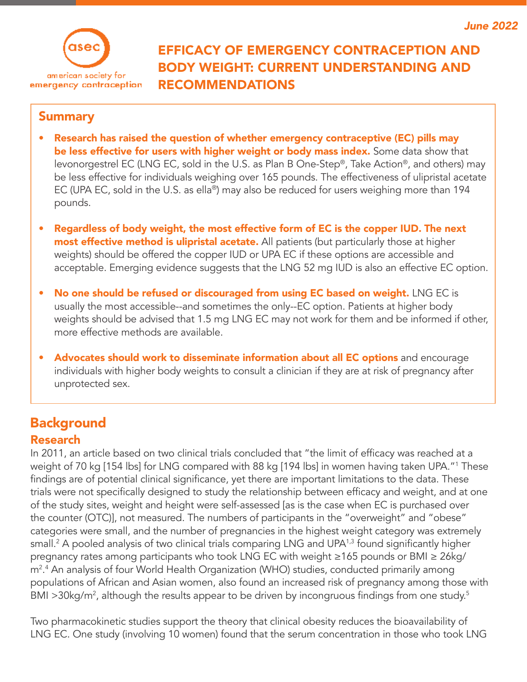

## EFFICACY OF EMERGENCY CONTRACEPTION AND BODY WEIGHT: CURRENT UNDERSTANDING AND RECOMMENDATIONS

### **Summary**

- Research has raised the question of whether emergency contraceptive (EC) pills may be less effective for users with higher weight or body mass index. Some data show that levonorgestrel EC (LNG EC, sold in the U.S. as Plan B One-Step®, Take Action®, and others) may be less effective for individuals weighing over 165 pounds. The effectiveness of ulipristal acetate EC (UPA EC, sold in the U.S. as ella®) may also be reduced for users weighing more than 194 pounds.
- Regardless of body weight, the most effective form of EC is the copper IUD. The next most effective method is ulipristal acetate. All patients (but particularly those at higher weights) should be offered the copper IUD or UPA EC if these options are accessible and acceptable. Emerging evidence suggests that the LNG 52 mg IUD is also an effective EC option.
- No one should be refused or discouraged from using EC based on weight. LNG EC is usually the most accessible--and sometimes the only--EC option. Patients at higher body weights should be advised that 1.5 mg LNG EC may not work for them and be informed if other, more effective methods are available.
- Advocates should work to disseminate information about all EC options and encourage individuals with higher body weights to consult a clinician if they are at risk of pregnancy after unprotected sex.

### **Background** Research

In 2011, an article based on two clinical trials concluded that "the limit of efficacy was reached at a weight of 70 kg [154 lbs] for LNG compared with 88 kg [194 lbs] in women having taken UPA."1 These findings are of potential clinical significance, yet there are important limitations to the data. These trials were not specifically designed to study the relationship between efficacy and weight, and at one of the study sites, weight and height were self-assessed [as is the case when EC is purchased over the counter (OTC)], not measured. The numbers of participants in the "overweight" and "obese" categories were small, and the number of pregnancies in the highest weight category was extremely small. $^2$  A pooled analysis of two clinical trials comparing LNG and UPA $^{1,3}$  found significantly higher pregnancy rates among participants who took LNG EC with weight ≥165 pounds or BMI ≥ 26kg/ m2 . 4 An analysis of four World Health Organization (WHO) studies, conducted primarily among populations of African and Asian women, also found an increased risk of pregnancy among those with BMI >30kg/m<sup>2</sup>, although the results appear to be driven by incongruous findings from one study.<sup>5</sup>

Two pharmacokinetic studies support the theory that clinical obesity reduces the bioavailability of LNG EC. One study (involving 10 women) found that the serum concentration in those who took LNG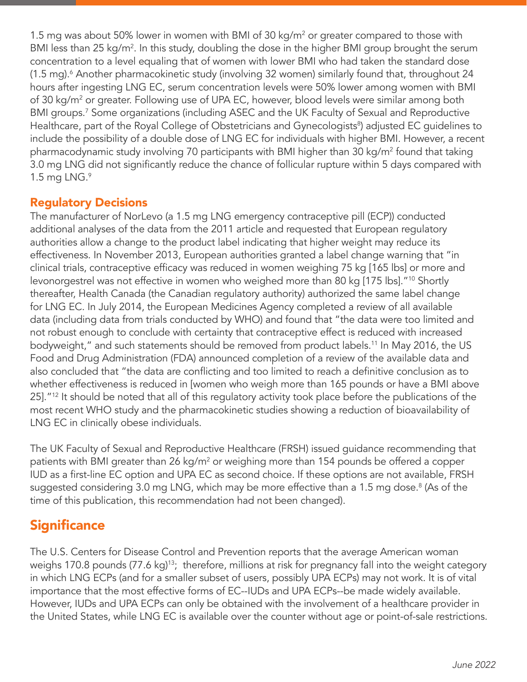1.5 mg was about 50% lower in women with BMI of 30 kg/m<sup>2</sup> or greater compared to those with BMI less than 25 kg/m<sup>2</sup>. In this study, doubling the dose in the higher BMI group brought the serum concentration to a level equaling that of women with lower BMI who had taken the standard dose (1.5 mg).<sup>6</sup> Another pharmacokinetic study (involving 32 women) similarly found that, throughout 24 hours after ingesting LNG EC, serum concentration levels were 50% lower among women with BMI of 30 kg/m<sup>2</sup> or greater. Following use of UPA EC, however, blood levels were similar among both BMI groups.<sup>7</sup> Some organizations (including ASEC and the UK Faculty of Sexual and Reproductive Healthcare, part of the Royal College of Obstetricians and Gynecologists<sup>8</sup>) adjusted EC guidelines to include the possibility of a double dose of LNG EC for individuals with higher BMI. However, a recent pharmacodynamic study involving 70 participants with BMI higher than 30 kg/m² found that taking 3.0 mg LNG did not significantly reduce the chance of follicular rupture within 5 days compared with 1.5 mg LNG. $9$ 

### Regulatory Decisions

The manufacturer of NorLevo (a 1.5 mg LNG emergency contraceptive pill (ECP)) conducted additional analyses of the data from the 2011 article and requested that European regulatory authorities allow a change to the product label indicating that higher weight may reduce its effectiveness. In November 2013, European authorities granted a label change warning that "in clinical trials, contraceptive efficacy was reduced in women weighing 75 kg [165 lbs] or more and levonorgestrel was not effective in women who weighed more than 80 kg [175 lbs]."<sup>10</sup> Shortly thereafter, Health Canada (the Canadian regulatory authority) authorized the same label change for LNG EC. In July 2014, the European Medicines Agency completed a review of all available data (including data from trials conducted by WHO) and found that "the data were too limited and not robust enough to conclude with certainty that contraceptive effect is reduced with increased bodyweight," and such statements should be removed from product labels.<sup>11</sup> In May 2016, the US Food and Drug Administration (FDA) announced completion of a review of the available data and also concluded that "the data are conflicting and too limited to reach a definitive conclusion as to whether effectiveness is reduced in [women who weigh more than 165 pounds or have a BMI above 25]."<sup>12</sup> It should be noted that all of this regulatory activity took place before the publications of the most recent WHO study and the pharmacokinetic studies showing a reduction of bioavailability of LNG EC in clinically obese individuals.

The UK Faculty of Sexual and Reproductive Healthcare (FRSH) issued guidance recommending that patients with BMI greater than 26 kg/m<sup>2</sup> or weighing more than 154 pounds be offered a copper IUD as a first-line EC option and UPA EC as second choice. If these options are not available, FRSH suggested considering 3.0 mg LNG, which may be more effective than a 1.5 mg dose. $^{\text{\tiny{8}}}$  (As of the time of this publication, this recommendation had not been changed).

## **Significance**

The U.S. Centers for Disease Control and Prevention reports that the average American woman weighs 170.8 pounds (77.6 kg)<sup>13</sup>; therefore, millions at risk for pregnancy fall into the weight category in which LNG ECPs (and for a smaller subset of users, possibly UPA ECPs) may not work. It is of vital importance that the most effective forms of EC--IUDs and UPA ECPs--be made widely available. However, IUDs and UPA ECPs can only be obtained with the involvement of a healthcare provider in the United States, while LNG EC is available over the counter without age or point-of-sale restrictions.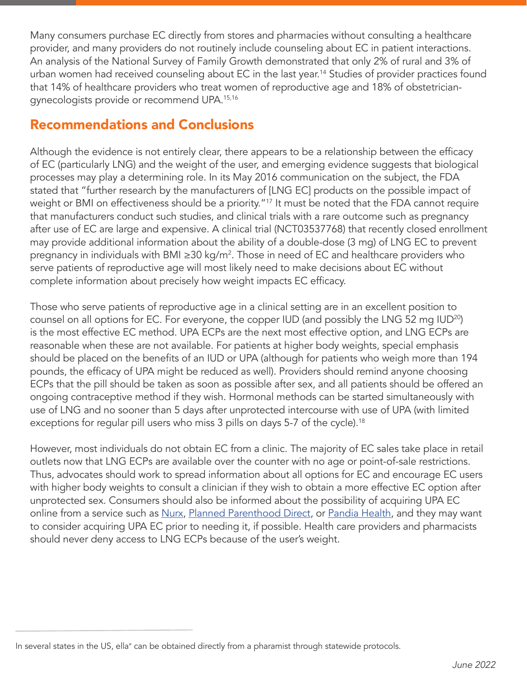Many consumers purchase EC directly from stores and pharmacies without consulting a healthcare provider, and many providers do not routinely include counseling about EC in patient interactions. An analysis of the National Survey of Family Growth demonstrated that only 2% of rural and 3% of urban women had received counseling about EC in the last year.<sup>14</sup> Studies of provider practices found that 14% of healthcare providers who treat women of reproductive age and 18% of obstetriciangynecologists provide or recommend UPA.15,16

## Recommendations and Conclusions

Although the evidence is not entirely clear, there appears to be a relationship between the efficacy of EC (particularly LNG) and the weight of the user, and emerging evidence suggests that biological processes may play a determining role. In its May 2016 communication on the subject, the FDA stated that "further research by the manufacturers of [LNG EC] products on the possible impact of weight or BMI on effectiveness should be a priority."<sup>17</sup> It must be noted that the FDA cannot require that manufacturers conduct such studies, and clinical trials with a rare outcome such as pregnancy after use of EC are large and expensive. A clinical trial (NCT03537768) that recently closed enrollment may provide additional information about the ability of a double-dose (3 mg) of LNG EC to prevent pregnancy in individuals with BMI ≥30 kg/m². Those in need of EC and healthcare providers who serve patients of reproductive age will most likely need to make decisions about EC without complete information about precisely how weight impacts EC efficacy.

Those who serve patients of reproductive age in a clinical setting are in an excellent position to counsel on all options for EC. For everyone, the copper IUD (and possibly the LNG 52 mg IUD<sup>20</sup>) is the most effective EC method. UPA ECPs are the next most effective option, and LNG ECPs are reasonable when these are not available. For patients at higher body weights, special emphasis should be placed on the benefits of an IUD or UPA (although for patients who weigh more than 194 pounds, the efficacy of UPA might be reduced as well). Providers should remind anyone choosing ECPs that the pill should be taken as soon as possible after sex, and all patients should be offered an ongoing contraceptive method if they wish. Hormonal methods can be started simultaneously with use of LNG and no sooner than 5 days after unprotected intercourse with use of UPA (with limited exceptions for regular pill users who miss 3 pills on days 5-7 of the cycle).<sup>18</sup>

However, most individuals do not obtain EC from a clinic. The majority of EC sales take place in retail outlets now that LNG ECPs are available over the counter with no age or point-of-sale restrictions. Thus, advocates should work to spread information about all options for EC and encourage EC users with higher body weights to consult a clinician if they wish to obtain a more effective EC option after unprotected sex. Consumers should also be informed about the possibility of acquiring UPA EC online from a service such as [Nurx](https://www.nurx.com/), [Planned Parenthood Direct](https://plannedparenthooddirect.org/), or [Pandia Health](https://www.pandiahealth.com/), and they may want to consider acquiring UPA EC prior to needing it, if possible. Health care providers and pharmacists should never deny access to LNG ECPs because of the user's weight.

In several states in the US, ella® can be obtained directly from a pharamist through statewide protocols.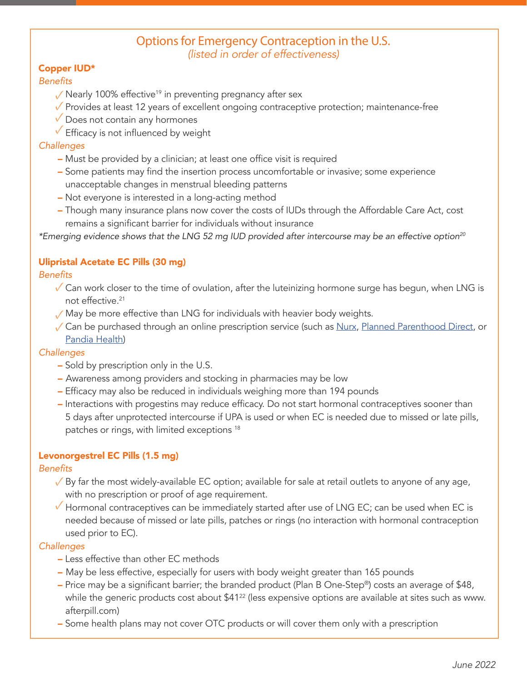#### Options for Emergency Contraception in the U.S. *(listed in order of effectiveness)*

#### Copper IUD\*

#### **Benefits**

- √ Nearly 100% effective<sup>19</sup> in preventing pregnancy after sex
- √ Provides at least 12 years of excellent ongoing contraceptive protection; maintenance-free
- ✓ Does not contain any hormones
- **✓** Efficacy is not influenced by weight

#### **Challenges**

- Must be provided by a clinician; at least one office visit is required
- Some patients may find the insertion process uncomfortable or invasive; some experience unacceptable changes in menstrual bleeding patterns
- Not everyone is interested in a long-acting method
- Though many insurance plans now cover the costs of IUDs through the Affordable Care Act, cost remains a significant barrier for individuals without insurance

\*Emerging evidence shows that the LNG 52 mg IUD provided after intercourse may be an effective option<sup>20</sup>

#### Ulipristal Acetate EC Pills (30 mg)

#### **Benefits**

- √ Can work closer to the time of ovulation, after the luteinizing hormone surge has begun, when LNG is not effective.21
- √ May be more effective than LNG for individuals with heavier body weights.
- √ Can be purchased through an online prescription service (such as <u>Nurx, [Planned Parenthood Direct](https://plannedparenthooddirect.org/)</u>, or [Pandia Health\)](https://www.pandiahealth.com/)

#### **Challenges**

- Sold by prescription only in the U.S.
- Awareness among providers and stocking in pharmacies may be low
- Efficacy may also be reduced in individuals weighing more than 194 pounds
- Interactions with progestins may reduce efficacy. Do not start hormonal contraceptives sooner than 5 days after unprotected intercourse if UPA is used or when EC is needed due to missed or late pills, patches or rings, with limited exceptions <sup>18</sup>

#### Levonorgestrel EC Pills (1.5 mg)

#### **Benefits**

- $\sqrt{B}$ y far the most widely-available EC option; available for sale at retail outlets to anyone of any age, with no prescription or proof of age requirement.
- ✓ Hormonal contraceptives can be immediately started after use of LNG EC; can be used when EC is needed because of missed or late pills, patches or rings (no interaction with hormonal contraception used prior to EC).

#### **Challenges**

- Less effective than other EC methods
- May be less effective, especially for users with body weight greater than 165 pounds
- Price may be a significant barrier; the branded product (Plan B One-Step®) costs an average of \$48, while the generic products cost about \$41<sup>22</sup> (less expensive options are available at sites such as www. afterpill.com)
- Some health plans may not cover OTC products or will cover them only with a prescription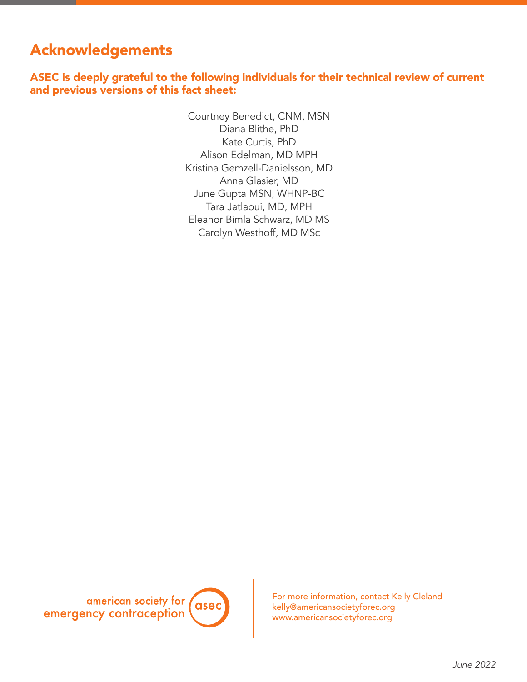# Acknowledgements

ASEC is deeply grateful to the following individuals for their technical review of current and previous versions of this fact sheet:

> Courtney Benedict, CNM, MSN Diana Blithe, PhD Kate Curtis, PhD Alison Edelman, MD MPH Kristina Gemzell-Danielsson, MD Anna Glasier, MD June Gupta MSN, WHNP-BC Tara Jatlaoui, MD, MPH Eleanor Bimla Schwarz, MD MS Carolyn Westhoff, MD MSc



For more information, contact Kelly Cleland kelly@americansocietyforec.org www.americansocietyforec.org